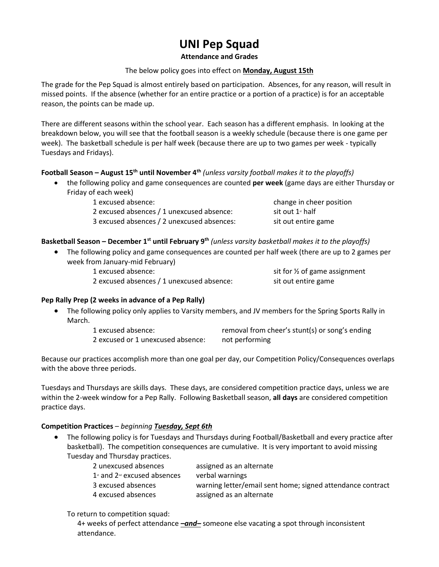# **UNI Pep Squad**

### **Attendance and Grades**

## The below policy goes into effect on **Monday, August 15th**

The grade for the Pep Squad is almost entirely based on participation. Absences, for any reason, will result in missed points. If the absence (whether for an entire practice or a portion of a practice) is for an acceptable reason, the points can be made up.

There are different seasons within the school year. Each season has a different emphasis. In looking at the breakdown below, you will see that the football season is a weekly schedule (because there is one game per week). The basketball schedule is per half week (because there are up to two games per week - typically Tuesdays and Fridays).

# **Football Season – August 15th until November 4th** *(unless varsity football makes it to the playoffs)*

 the following policy and game consequences are counted **per week** (game days are either Thursday or Friday of each week)

| 1 excused absence:                         |
|--------------------------------------------|
| 2 excused absences / 1 unexcused absence:  |
| 3 excused absences / 2 unexcused absences: |

change in cheer position sit out  $1$ <sup>s</sup> half sit out entire game

# **Basketball Season – December 1st until February 9th** *(unless varsity basketball makes it to the playoffs)*

- The following policy and game consequences are counted per half week (there are up to 2 games per week from January-mid February)
	-

2 excused absences / 1 unexcused absence: sit out entire game

1 excused absence: sit for  $\frac{1}{2}$  of game assignment

## **Pep Rally Prep (2 weeks in advance of a Pep Rally)**

 The following policy only applies to Varsity members, and JV members for the Spring Sports Rally in March.

> 1 excused absence: removal from cheer's stunt(s) or song's ending 2 excused or 1 unexcused absence: not performing

Because our practices accomplish more than one goal per day, our Competition Policy/Consequences overlaps with the above three periods.

Tuesdays and Thursdays are skills days. These days, are considered competition practice days, unless we are within the 2-week window for a Pep Rally. Following Basketball season, **all days** are considered competition practice days.

## **Competition Practices** – *beginning Tuesday, Sept 6th*

 The following policy is for Tuesdays and Thursdays during Football/Basketball and every practice after basketball). The competition consequences are cumulative. It is very important to avoid missing Tuesday and Thursday practices.

| 2 unexcused absences                                    | assigned as an alternate                                   |
|---------------------------------------------------------|------------------------------------------------------------|
| $1st$ and 2 <sup><math>st</math></sup> excused absences | verbal warnings                                            |
| 3 excused absences                                      | warning letter/email sent home; signed attendance contract |
| 4 excused absences                                      | assigned as an alternate                                   |

To return to competition squad:

4+ weeks of perfect attendance *–and–* someone else vacating a spot through inconsistent attendance.